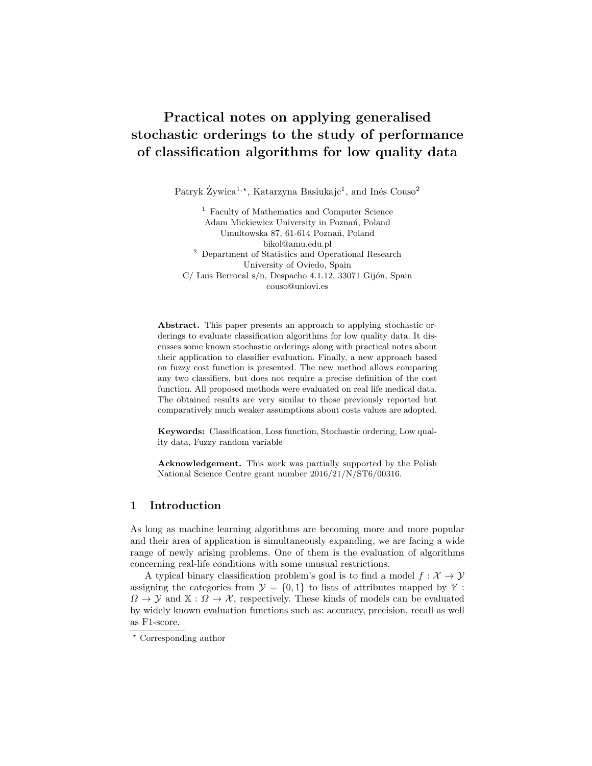# Practical notes on applying generalised stochastic orderings to the study of performance of classification algorithms for low quality data

Patryk Żywica<sup>1,\*</sup>, Katarzyna Basiukajc<sup>1</sup>, and Inés Couso<sup>2</sup>

<sup>1</sup> Faculty of Mathematics and Computer Science Adam Mickiewicz University in Poznań, Poland Umultowska 87, 61-614 Poznań, Poland bikol@amu.edu.pl <sup>2</sup> Department of Statistics and Operational Research University of Oviedo, Spain  $C/$  Luis Berrocal s/n, Despacho 4.1.12, 33071 Gijón, Spain couso@uniovi.es

Abstract. This paper presents an approach to applying stochastic orderings to evaluate classification algorithms for low quality data. It discusses some known stochastic orderings along with practical notes about their application to classifier evaluation. Finally, a new approach based on fuzzy cost function is presented. The new method allows comparing any two classifiers, but does not require a precise definition of the cost function. All proposed methods were evaluated on real life medical data. The obtained results are very similar to those previously reported but comparatively much weaker assumptions about costs values are adopted.

Keywords: Classification, Loss function, Stochastic ordering, Low quality data, Fuzzy random variable

Acknowledgement. This work was partially supported by the Polish National Science Centre grant number 2016/21/N/ST6/00316.

# 1 Introduction

As long as machine learning algorithms are becoming more and more popular and their area of application is simultaneously expanding, we are facing a wide range of newly arising problems. One of them is the evaluation of algorithms concerning real-life conditions with some unusual restrictions.

A typical binary classification problem's goal is to find a model  $f : \mathcal{X} \to \mathcal{Y}$ assigning the categories from  $\mathcal{Y} = \{0, 1\}$  to lists of attributes mapped by Y:  $\Omega \to \mathcal{Y}$  and  $\mathbb{X} : \Omega \to \mathcal{X}$ , respectively. These kinds of models can be evaluated by widely known evaluation functions such as: accuracy, precision, recall as well as F1-score.

<sup>?</sup> Corresponding author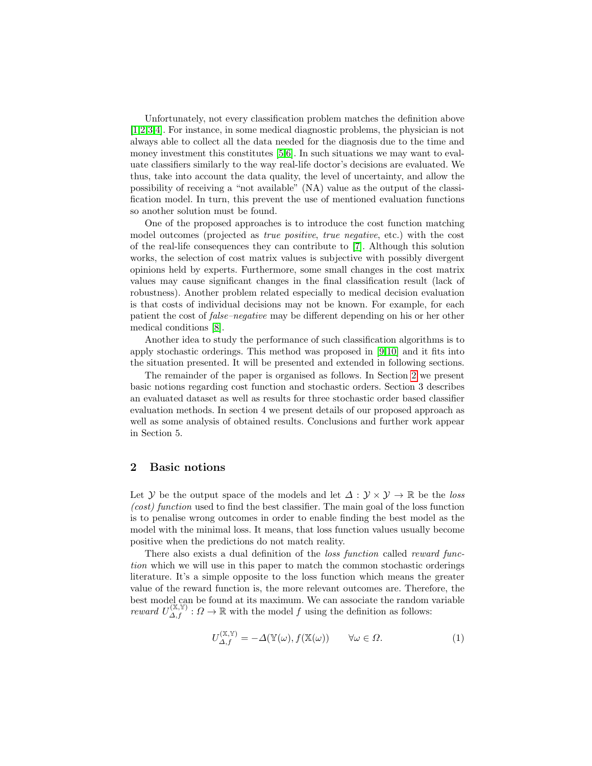Unfortunately, not every classification problem matches the definition above [\[1,](#page-13-0)[2](#page-13-1)[,3,](#page-13-2)[4\]](#page-13-3). For instance, in some medical diagnostic problems, the physician is not always able to collect all the data needed for the diagnosis due to the time and money investment this constitutes [\[5](#page-13-4)[,6\]](#page-13-5). In such situations we may want to evaluate classifiers similarly to the way real-life doctor's decisions are evaluated. We thus, take into account the data quality, the level of uncertainty, and allow the possibility of receiving a "not available" (NA) value as the output of the classification model. In turn, this prevent the use of mentioned evaluation functions so another solution must be found.

One of the proposed approaches is to introduce the cost function matching model outcomes (projected as true positive, true negative, etc.) with the cost of the real-life consequences they can contribute to [\[7\]](#page-13-6). Although this solution works, the selection of cost matrix values is subjective with possibly divergent opinions held by experts. Furthermore, some small changes in the cost matrix values may cause significant changes in the final classification result (lack of robustness). Another problem related especially to medical decision evaluation is that costs of individual decisions may not be known. For example, for each patient the cost of false–negative may be different depending on his or her other medical conditions [\[8\]](#page-13-7).

Another idea to study the performance of such classification algorithms is to apply stochastic orderings. This method was proposed in [\[9,](#page-13-8)[10\]](#page-13-9) and it fits into the situation presented. It will be presented and extended in following sections.

The remainder of the paper is organised as follows. In Section [2](#page-1-0) we present basic notions regarding cost function and stochastic orders. Section 3 describes an evaluated dataset as well as results for three stochastic order based classifier evaluation methods. In section 4 we present details of our proposed approach as well as some analysis of obtained results. Conclusions and further work appear in Section 5.

## <span id="page-1-0"></span>2 Basic notions

Let Y be the output space of the models and let  $\Delta: \mathcal{Y} \times \mathcal{Y} \to \mathbb{R}$  be the loss (cost) function used to find the best classifier. The main goal of the loss function is to penalise wrong outcomes in order to enable finding the best model as the model with the minimal loss. It means, that loss function values usually become positive when the predictions do not match reality.

There also exists a dual definition of the *loss function* called *reward func*tion which we will use in this paper to match the common stochastic orderings literature. It's a simple opposite to the loss function which means the greater value of the reward function is, the more relevant outcomes are. Therefore, the best model can be found at its maximum. We can associate the random variable reward  $U_{\Delta,f}^{(\mathbb{X},\mathbb{Y})}$ :  $\Omega \to \mathbb{R}$  with the model f using the definition as follows:

$$
U_{\Delta,f}^{(\mathbb{X},\mathbb{Y})} = -\Delta(\mathbb{Y}(\omega), f(\mathbb{X}(\omega))) \qquad \forall \omega \in \Omega.
$$
 (1)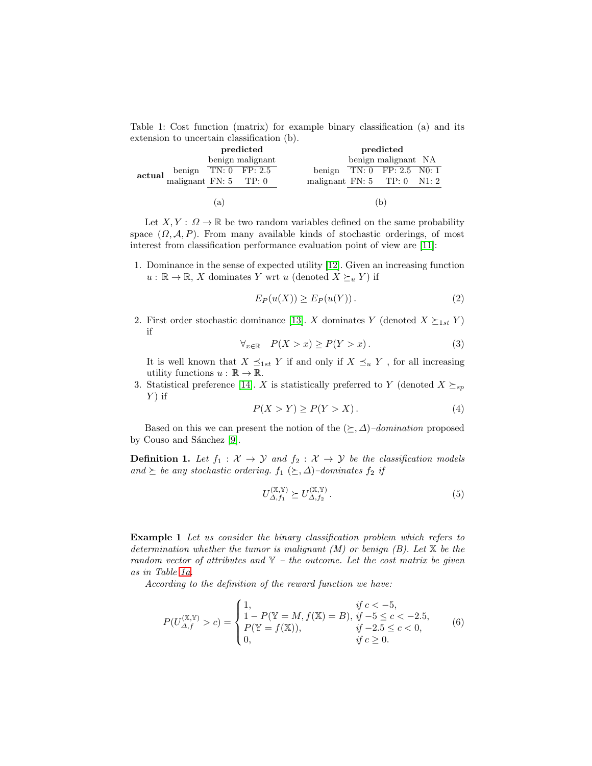<span id="page-2-0"></span>Table 1: Cost function (matrix) for example binary classification (a) and its extension to uncertain classification (b).

|        |                                                                                              | predicted        |                               | predicted           |                              |  |  |
|--------|----------------------------------------------------------------------------------------------|------------------|-------------------------------|---------------------|------------------------------|--|--|
|        |                                                                                              | benign malignant |                               | benign malignant NA |                              |  |  |
| actual | benign $\boxed{\text{TN: 0} \quad \text{FP: 2.5}}$<br>malignant FN: 5 $\boxed{\text{TP: 0}}$ |                  |                               |                     | benign $TN: 0$ FP: 2.5 N0: 1 |  |  |
|        |                                                                                              |                  | malignant $FN: 5$ TP: 0 N1: 2 |                     |                              |  |  |
|        | $\alpha$                                                                                     |                  |                               |                     |                              |  |  |

Let  $X, Y : \Omega \to \mathbb{R}$  be two random variables defined on the same probability space  $(\Omega, \mathcal{A}, P)$ . From many available kinds of stochastic orderings, of most interest from classification performance evaluation point of view are [\[11\]](#page-13-10):

1. Dominance in the sense of expected utility [\[12\]](#page-13-11). Given an increasing function  $u : \mathbb{R} \to \mathbb{R}$ , X dominates Y wrt u (denoted  $X \succeq_u Y$ ) if

$$
E_P(u(X)) \ge E_P(u(Y)).\tag{2}
$$

2. First order stochastic dominance [\[13\]](#page-13-12). X dominates Y (denoted  $X \succeq_{1st} Y$ ) if

$$
\forall_{x \in \mathbb{R}} \quad P(X > x) \ge P(Y > x) \,. \tag{3}
$$

It is well known that  $X \preceq_{1st} Y$  if and only if  $X \preceq_u Y$ , for all increasing utility functions  $u : \mathbb{R} \to \mathbb{R}$ .

3. Statistical preference [\[14\]](#page-13-13). X is statistically preferred to Y (denoted  $X \succeq_{sp}$  $Y)$  if

$$
P(X > Y) \ge P(Y > X). \tag{4}
$$

Based on this we can present the notion of the  $(\succeq, \Delta)$ –domination proposed by Couso and Sánchez [\[9\]](#page-13-8).

**Definition 1.** Let  $f_1 : \mathcal{X} \to \mathcal{Y}$  and  $f_2 : \mathcal{X} \to \mathcal{Y}$  be the classification models and  $\succeq$  be any stochastic ordering.  $f_1 (\succeq, \Delta)$ –dominates  $f_2$  if

<span id="page-2-1"></span>
$$
U_{\Delta, f_1}^{(\mathbb{X}, \mathbb{Y})} \succeq U_{\Delta, f_2}^{(\mathbb{X}, \mathbb{Y})}.
$$
\n
$$
(5)
$$

Example 1 Let us consider the binary classification problem which refers to determination whether the tumor is malignant  $(M)$  or benign  $(B)$ . Let  $\mathbb X$  be the random vector of attributes and  $Y - the outcome$ . Let the cost matrix be given as in Table [1a.](#page-2-0)

According to the definition of the reward function we have:

$$
P(U_{\Delta,f}^{(\mathbb{X},\mathbb{Y})}>c)=\begin{cases}1, & if \ c<-5, \\ 1-P(\mathbb{Y}=M,f(\mathbb{X})=B), \ if \ -5\leq c<-2.5, \\ P(\mathbb{Y}=f(\mathbb{X})), & if \ -2.5\leq c<0, \\ 0, & if \ c\geq 0.\end{cases} \eqno{(6)}
$$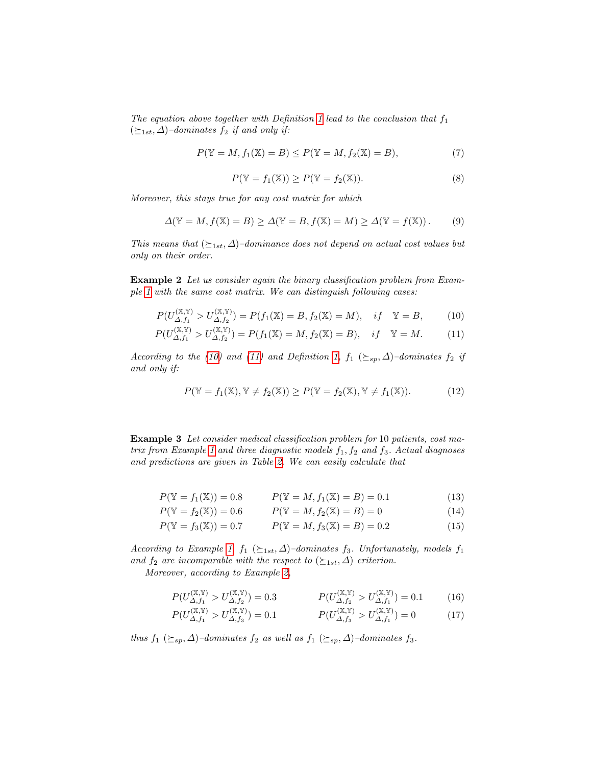The equation above together with Definition [1](#page-2-1) lead to the conclusion that  $f_1$  $(\succeq_{1st}, \Delta)$ –dominates  $f_2$  if and only if:

$$
P(\mathbb{Y} = M, f_1(\mathbb{X}) = B) \le P(\mathbb{Y} = M, f_2(\mathbb{X}) = B),
$$
\n(7)

<span id="page-3-2"></span><span id="page-3-1"></span>
$$
P(\mathbb{Y} = f_1(\mathbb{X})) \ge P(\mathbb{Y} = f_2(\mathbb{X})).
$$
\n(8)

Moreover, this stays true for any cost matrix for which

<span id="page-3-0"></span>
$$
\Delta(\mathbb{Y} = M, f(\mathbb{X}) = B) \ge \Delta(\mathbb{Y} = B, f(\mathbb{X}) = M) \ge \Delta(\mathbb{Y} = f(\mathbb{X})).
$$
 (9)

This means that  $(\succeq_{1st}, \Delta)$ –dominance does not depend on actual cost values but only on their order.

Example 2 Let us consider again the binary classification problem from Example [1](#page-3-0) with the same cost matrix. We can distinguish following cases:

$$
P(U_{\Delta, f_1}^{(\mathbb{X}, \mathbb{Y})} > U_{\Delta, f_2}^{(\mathbb{X}, \mathbb{Y})}) = P(f_1(\mathbb{X}) = B, f_2(\mathbb{X}) = M), \quad if \quad \mathbb{Y} = B,
$$
 (10)

$$
P(U_{\Delta,f_1}^{(\mathbb{X},\mathbb{Y})} > U_{\Delta,f_2}^{(\mathbb{X},\mathbb{Y})}) = P(f_1(\mathbb{X}) = M, f_2(\mathbb{X}) = B), \quad if \quad \mathbb{Y} = M.
$$
 (11)

According to the [\(10\)](#page-3-1) and [\(11\)](#page-3-2) and Definition [1,](#page-2-1)  $f_1 \;(\succeq_{sp} \Delta)$ -dominates  $f_2$  if and only if:

<span id="page-3-3"></span>
$$
P(\mathbb{Y} = f_1(\mathbb{X}), \mathbb{Y} \neq f_2(\mathbb{X})) \ge P(\mathbb{Y} = f_2(\mathbb{X}), \mathbb{Y} \neq f_1(\mathbb{X})).
$$
\n(12)

Example 3 Let consider medical classification problem for 10 patients, cost ma-trix from Example [1](#page-3-0) and three diagnostic models  $f_1, f_2$  and  $f_3$ . Actual diagnoses and predictions are given in Table [2.](#page-4-0) We can easily calculate that

$$
P(\mathbb{Y} = f_1(\mathbb{X})) = 0.8 \qquad P(\mathbb{Y} = M, f_1(\mathbb{X}) = B) = 0.1 \tag{13}
$$

$$
P(\mathbb{Y} = f_2(\mathbb{X})) = 0.6 \qquad P(\mathbb{Y} = M, f_2(\mathbb{X}) = B) = 0 \tag{14}
$$

$$
P(\mathbb{Y} = f_3(\mathbb{X})) = 0.7 \qquad P(\mathbb{Y} = M, f_3(\mathbb{X}) = B) = 0.2 \tag{15}
$$

According to Example [1,](#page-3-0)  $f_1$  ( $\succeq_{1st}$ ,  $\Delta$ )–dominates  $f_3$ . Unfortunately, models  $f_1$ and  $f_2$  are incomparable with the respect to  $(\succeq_{1st}, \Delta)$  criterion.

Moreover, according to Example [2,](#page-3-3)

$$
P(U_{\Delta,f_1}^{(\mathbb{X},\mathbb{Y})} > U_{\Delta,f_2}^{(\mathbb{X},\mathbb{Y})}) = 0.3 \qquad P(U_{\Delta,f_2}^{(\mathbb{X},\mathbb{Y})} > U_{\Delta,f_1}^{(\mathbb{X},\mathbb{Y})}) = 0.1 \qquad (16)
$$

$$
P(U_{\Delta,f_1}^{(\mathbb{X},\mathbb{Y})} > U_{\Delta,f_3}^{(\mathbb{X},\mathbb{Y})}) = 0.1 \qquad P(U_{\Delta,f_3}^{(\mathbb{X},\mathbb{Y})} > U_{\Delta,f_1}^{(\mathbb{X},\mathbb{Y})}) = 0 \qquad (17)
$$

thus  $f_1$  ( $\succeq_{sp}$ ,  $\Delta$ )–dominates  $f_2$  as well as  $f_1$  ( $\succeq_{sp}$ ,  $\Delta$ )–dominates  $f_3$ .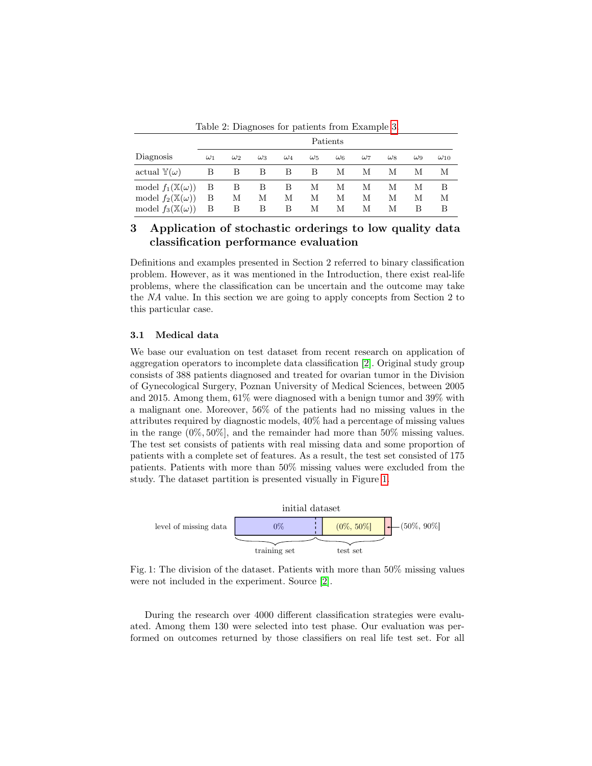Table 2: Diagnoses for patients from Example [3.](#page-4-0)

<span id="page-4-0"></span>

|                                                                                                       | Patients    |             |             |             |             |             |             |              |             |               |
|-------------------------------------------------------------------------------------------------------|-------------|-------------|-------------|-------------|-------------|-------------|-------------|--------------|-------------|---------------|
| Diagnosis                                                                                             | $\omega_1$  | $\omega_2$  | $\omega_3$  | $\omega_4$  | $\omega_5$  | $\omega_6$  | $\omega_7$  | $\omega_{8}$ | $\omega_9$  | $\omega_{10}$ |
| actual $\mathbb{Y}(\omega)$                                                                           | В           | В           | В           | B           | Β           | М           | М           | М            | М           | М             |
| model $f_1(\mathbb{X}(\omega))$<br>model $f_2(\mathbb{X}(\omega))$<br>model $f_3(\mathbb{X}(\omega))$ | Β<br>Β<br>Β | В<br>М<br>В | В<br>М<br>В | В<br>М<br>В | М<br>М<br>М | М<br>М<br>М | М<br>М<br>М | М<br>М<br>М  | М<br>М<br>В | В<br>М<br>B   |

# 3 Application of stochastic orderings to low quality data classification performance evaluation

Definitions and examples presented in Section 2 referred to binary classification problem. However, as it was mentioned in the Introduction, there exist real-life problems, where the classification can be uncertain and the outcome may take the NA value. In this section we are going to apply concepts from Section 2 to this particular case.

#### 3.1 Medical data

We base our evaluation on test dataset from recent research on application of aggregation operators to incomplete data classification [\[2\]](#page-13-1). Original study group consists of 388 patients diagnosed and treated for ovarian tumor in the Division of Gynecological Surgery, Poznan University of Medical Sciences, between 2005 and 2015. Among them, 61% were diagnosed with a benign tumor and 39% with a malignant one. Moreover, 56% of the patients had no missing values in the attributes required by diagnostic models, 40% had a percentage of missing values in the range (0%, 50%], and the remainder had more than 50% missing values. The test set consists of patients with real missing data and some proportion of patients with a complete set of features. As a result, the test set consisted of 175 patients. Patients with more than 50% missing values were excluded from the study. The dataset partition is presented visually in Figure [1.](#page-4-1)

<span id="page-4-1"></span>

Fig. 1: The division of the dataset. Patients with more than 50% missing values were not included in the experiment. Source [\[2\]](#page-13-1).

During the research over 4000 different classification strategies were evaluated. Among them 130 were selected into test phase. Our evaluation was performed on outcomes returned by those classifiers on real life test set. For all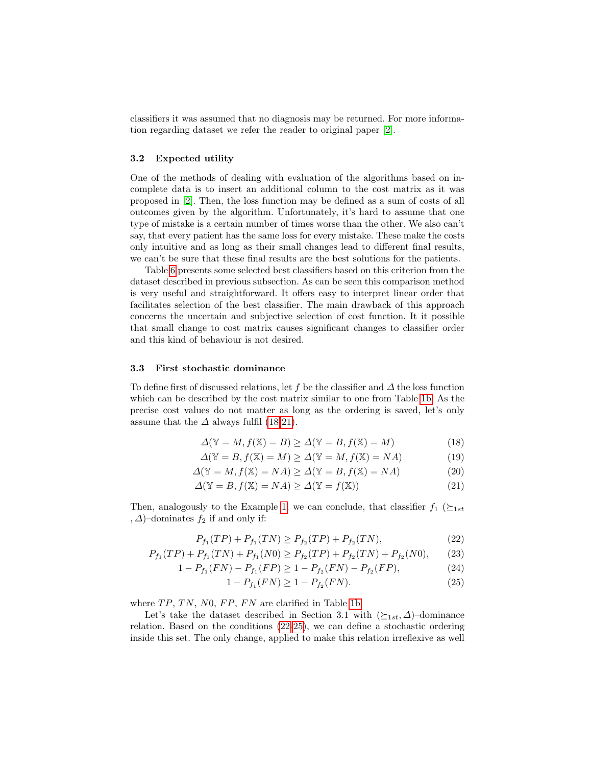classifiers it was assumed that no diagnosis may be returned. For more information regarding dataset we refer the reader to original paper [\[2\]](#page-13-1).

#### 3.2 Expected utility

One of the methods of dealing with evaluation of the algorithms based on incomplete data is to insert an additional column to the cost matrix as it was proposed in [\[2\]](#page-13-1). Then, the loss function may be defined as a sum of costs of all outcomes given by the algorithm. Unfortunately, it's hard to assume that one type of mistake is a certain number of times worse than the other. We also can't say, that every patient has the same loss for every mistake. These make the costs only intuitive and as long as their small changes lead to different final results, we can't be sure that these final results are the best solutions for the patients.

Table [6](#page-12-0) presents some selected best classifiers based on this criterion from the dataset described in previous subsection. As can be seen this comparison method is very useful and straightforward. It offers easy to interpret linear order that facilitates selection of the best classifier. The main drawback of this approach concerns the uncertain and subjective selection of cost function. It it possible that small change to cost matrix causes significant changes to classifier order and this kind of behaviour is not desired.

#### 3.3 First stochastic dominance

To define first of discussed relations, let f be the classifier and  $\Delta$  the loss function which can be described by the cost matrix similar to one from Table [1b.](#page-2-0) As the precise cost values do not matter as long as the ordering is saved, let's only assume that the  $\Delta$  always fulfil [\(18-](#page-5-0)[21\)](#page-5-1).

<span id="page-5-0"></span>
$$
\Delta(\mathbb{Y} = M, f(\mathbb{X}) = B) \ge \Delta(\mathbb{Y} = B, f(\mathbb{X}) = M)
$$
\n(18)

$$
\Delta(\mathbb{Y} = B, f(\mathbb{X}) = M) \ge \Delta(\mathbb{Y} = M, f(\mathbb{X}) = NA)
$$
\n(19)

$$
\Delta(\mathbb{Y} = M, f(\mathbb{X}) = NA) \ge \Delta(\mathbb{Y} = B, f(\mathbb{X}) = NA)
$$
\n(20)

$$
\Delta(\mathbb{Y} = B, f(\mathbb{X}) = NA) \ge \Delta(\mathbb{Y} = f(\mathbb{X}))
$$
\n(21)

Then, analogously to the Example [1,](#page-3-0) we can conclude, that classifier  $f_1$  ( $\succeq_{1st}$ ,  $\Delta$ )–dominates  $f_2$  if and only if:

$$
P_{f_1}(TP) + P_{f_1}(TN) \ge P_{f_2}(TP) + P_{f_2}(TN),\tag{22}
$$

$$
P_{f_1}(TP) + P_{f_1}(TN) + P_{f_1}(N0) \ge P_{f_2}(TP) + P_{f_2}(TN) + P_{f_2}(N0), \tag{23}
$$

$$
1 - P_{f_1}(FN) - P_{f_1}(FP) \ge 1 - P_{f_2}(FN) - P_{f_2}(FP), \tag{24}
$$

<span id="page-5-3"></span><span id="page-5-2"></span><span id="page-5-1"></span>
$$
1 - P_{f_1}(FN) \ge 1 - P_{f_2}(FN). \tag{25}
$$

where  $TP, TN, N0, FP, FN$  are clarified in Table [1b.](#page-2-0)

Let's take the dataset described in Section 3.1 with  $(\succeq_{1st}, \Delta)$ –dominance relation. Based on the conditions [\(22](#page-5-2)[-25\)](#page-5-3), we can define a stochastic ordering inside this set. The only change, applied to make this relation irreflexive as well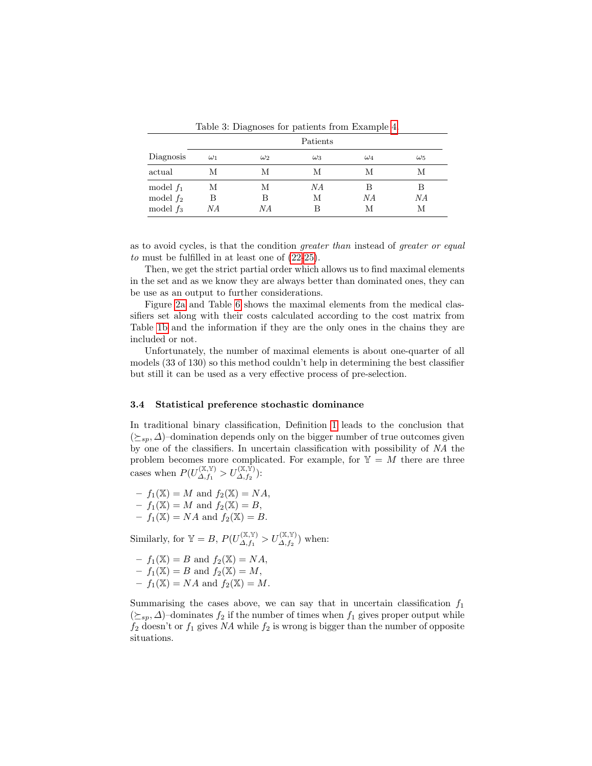<span id="page-6-0"></span>

|             | Patients   |            |            |            |            |  |  |  |  |
|-------------|------------|------------|------------|------------|------------|--|--|--|--|
| Diagnosis   | $\omega_1$ | $\omega_2$ | $\omega_3$ | $\omega_4$ | $\omega_5$ |  |  |  |  |
| actual      | М          | М          | М          | М          | М          |  |  |  |  |
| model $f_1$ | М          | М          | ΝA         | В          | В          |  |  |  |  |
| model $f_2$ | В          | В          | М          | ΝA         | ΝA         |  |  |  |  |
| model $f_3$ | ΝA         | NΑ         | R          | М          | М          |  |  |  |  |

Table 3: Diagnoses for patients from Example [4.](#page-6-0)

as to avoid cycles, is that the condition greater than instead of greater or equal to must be fulfilled in at least one of [\(22-](#page-5-2)[25\)](#page-5-3).

Then, we get the strict partial order which allows us to find maximal elements in the set and as we know they are always better than dominated ones, they can be use as an output to further considerations.

Figure [2a](#page-7-0) and Table [6](#page-12-0) shows the maximal elements from the medical classifiers set along with their costs calculated according to the cost matrix from Table [1b](#page-2-0) and the information if they are the only ones in the chains they are included or not.

Unfortunately, the number of maximal elements is about one-quarter of all models (33 of 130) so this method couldn't help in determining the best classifier but still it can be used as a very effective process of pre-selection.

#### 3.4 Statistical preference stochastic dominance

In traditional binary classification, Definition [1](#page-2-1) leads to the conclusion that  $(\succeq_{sp}, \Delta)$ –domination depends only on the bigger number of true outcomes given by one of the classifiers. In uncertain classification with possibility of NA the problem becomes more complicated. For example, for  $\mathbb{Y} = M$  there are three cases when  $P(U_{\Lambda,\,f_1}^{(\mathbb{X},\mathbb{Y})})$  $\lambda^{(\mathbb{X},\mathbb{Y})}_{\varDelta,f_{1}}>U_{\varDelta,f_{2}}^{(\mathbb{X},\mathbb{\bar{Y}}})$  :

$$
- f_1(\mathbb{X}) = M \text{ and } f_2(\mathbb{X}) = NA,
$$
  

$$
- f_1(\mathbb{X}) = M \text{ and } f_2(\mathbb{X}) = B,
$$

 $-f_1(\mathbb{X}) = NA$  and  $f_2(\mathbb{X}) = B$ .

Similarly, for  $\mathbb{Y} = B$ ,  $P(U_{\Lambda}^{(\mathbb{X}, \mathbb{Y})})$  $\mathcal{L}_{\Delta,f_1}^{(\mathbb{X},\mathbb{Y})} > U_{\Delta,f_2}^{(\mathbb{X},\mathbb{Y})}$  when:

 $-f_1(\mathbb{X}) = B$  and  $f_2(\mathbb{X}) = NA$ ,  $-f_1(\mathbb{X}) = B$  and  $f_2(\mathbb{X}) = M$ ,  $-f_1(\mathbb{X}) = NA$  and  $f_2(\mathbb{X}) = M$ .

Summarising the cases above, we can say that in uncertain classification  $f_1$  $(\succeq_{sp}, \Delta)$ –dominates  $f_2$  if the number of times when  $f_1$  gives proper output while  $f_2$  doesn't or  $f_1$  gives NA while  $f_2$  is wrong is bigger than the number of opposite situations.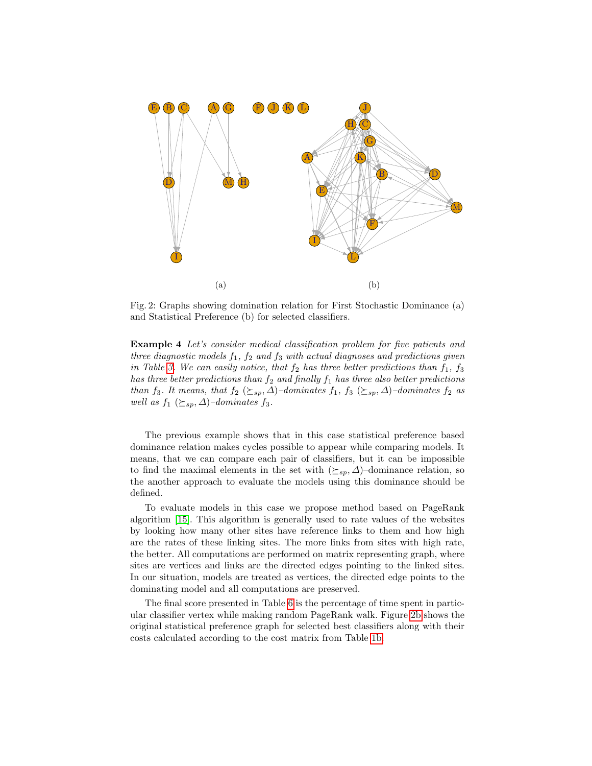<span id="page-7-0"></span>

Fig. 2: Graphs showing domination relation for First Stochastic Dominance (a) and Statistical Preference (b) for selected classifiers.

Example 4 Let's consider medical classification problem for five patients and three diagnostic models  $f_1$ ,  $f_2$  and  $f_3$  with actual diagnoses and predictions given in Table [3.](#page-6-0) We can easily notice, that  $f_2$  has three better predictions than  $f_1$ ,  $f_3$ has three better predictions than  $f_2$  and finally  $f_1$  has three also better predictions than f<sub>3</sub>. It means, that  $f_2$  ( $\succeq_{sp}$ ,  $\Delta$ )–dominates f<sub>1</sub>, f<sub>3</sub> ( $\succeq_{sp}$ ,  $\Delta$ )–dominates f<sub>2</sub> as well as  $f_1$  ( $\succeq_{sp}$ ,  $\Delta$ )–dominates  $f_3$ .

The previous example shows that in this case statistical preference based dominance relation makes cycles possible to appear while comparing models. It means, that we can compare each pair of classifiers, but it can be impossible to find the maximal elements in the set with  $(\succeq_{sp} \Delta)$ –dominance relation, so the another approach to evaluate the models using this dominance should be defined.

To evaluate models in this case we propose method based on PageRank algorithm [\[15\]](#page-13-14). This algorithm is generally used to rate values of the websites by looking how many other sites have reference links to them and how high are the rates of these linking sites. The more links from sites with high rate, the better. All computations are performed on matrix representing graph, where sites are vertices and links are the directed edges pointing to the linked sites. In our situation, models are treated as vertices, the directed edge points to the dominating model and all computations are preserved.

The final score presented in Table [6](#page-12-0) is the percentage of time spent in particular classifier vertex while making random PageRank walk. Figure [2b](#page-7-0) shows the original statistical preference graph for selected best classifiers along with their costs calculated according to the cost matrix from Table [1b.](#page-2-0)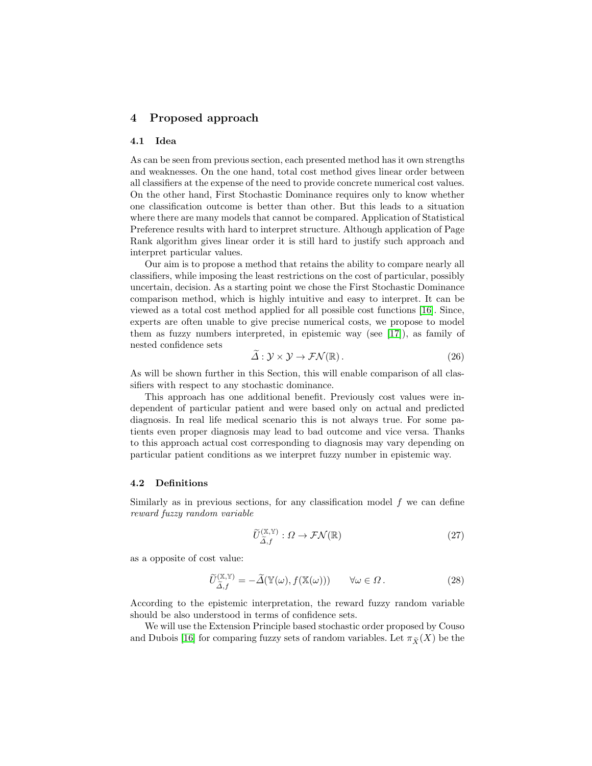# 4 Proposed approach

### 4.1 Idea

As can be seen from previous section, each presented method has it own strengths and weaknesses. On the one hand, total cost method gives linear order between all classifiers at the expense of the need to provide concrete numerical cost values. On the other hand, First Stochastic Dominance requires only to know whether one classification outcome is better than other. But this leads to a situation where there are many models that cannot be compared. Application of Statistical Preference results with hard to interpret structure. Although application of Page Rank algorithm gives linear order it is still hard to justify such approach and interpret particular values.

Our aim is to propose a method that retains the ability to compare nearly all classifiers, while imposing the least restrictions on the cost of particular, possibly uncertain, decision. As a starting point we chose the First Stochastic Dominance comparison method, which is highly intuitive and easy to interpret. It can be viewed as a total cost method applied for all possible cost functions [\[16\]](#page-13-15). Since, experts are often unable to give precise numerical costs, we propose to model them as fuzzy numbers interpreted, in epistemic way (see [\[17\]](#page-13-16)), as family of nested confidence sets

$$
\widetilde{\Delta}: \mathcal{Y} \times \mathcal{Y} \to \mathcal{FN}(\mathbb{R}). \tag{26}
$$

As will be shown further in this Section, this will enable comparison of all classifiers with respect to any stochastic dominance.

This approach has one additional benefit. Previously cost values were independent of particular patient and were based only on actual and predicted diagnosis. In real life medical scenario this is not always true. For some patients even proper diagnosis may lead to bad outcome and vice versa. Thanks to this approach actual cost corresponding to diagnosis may vary depending on particular patient conditions as we interpret fuzzy number in epistemic way.

#### 4.2 Definitions

Similarly as in previous sections, for any classification model  $f$  we can define reward fuzzy random variable

$$
\widetilde{U}^{(\mathbb{X},\mathbb{Y})}_{\widetilde{\Delta},f} : \Omega \to \mathcal{FN}(\mathbb{R})
$$
\n(27)

as a opposite of cost value:

$$
\widetilde{U}^{(\mathbb{X},\mathbb{Y})}_{\widetilde{\Delta},f} = -\widetilde{\Delta}(\mathbb{Y}(\omega),f(\mathbb{X}(\omega))) \qquad \forall \omega \in \Omega.
$$
\n(28)

According to the epistemic interpretation, the reward fuzzy random variable should be also understood in terms of confidence sets.

We will use the Extension Principle based stochastic order proposed by Couso and Dubois [\[16\]](#page-13-15) for comparing fuzzy sets of random variables. Let  $\pi_{\widetilde{X}}(X)$  be the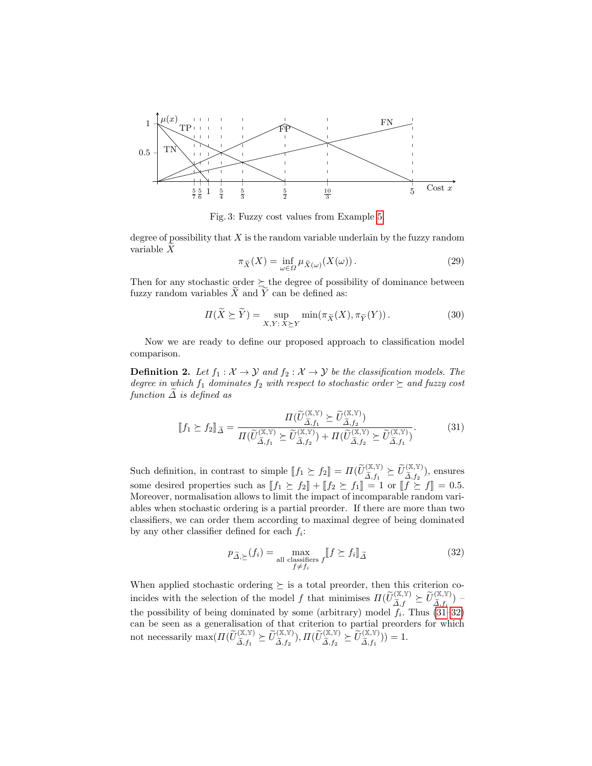<span id="page-9-2"></span>

Fig. 3: Fuzzy cost values from Example [5.](#page-10-0)

degree of possibility that  $X$  is the random variable underlain by the fuzzy random variable  $\widetilde{X}$ 

$$
\pi_{\widetilde{X}}(X) = \inf_{\omega \in \Omega} \mu_{\widetilde{X}(\omega)}(X(\omega)).
$$
\n(29)

Then for any stochastic order  $\succeq$  the degree of possibility of dominance between fuzzy random variables  $\widetilde{X}$  and  $\widetilde{Y}$  can be defined as:

<span id="page-9-3"></span>
$$
\Pi(\widetilde{X} \succeq \widetilde{Y}) = \sup_{X,Y:\,X \succeq Y} \min(\pi_{\widetilde{X}}(X), \pi_{\widetilde{Y}}(Y)). \tag{30}
$$

Now we are ready to define our proposed approach to classification model comparison.

**Definition 2.** Let  $f_1 : \mathcal{X} \to \mathcal{Y}$  and  $f_2 : \mathcal{X} \to \mathcal{Y}$  be the classification models. The degree in which  $f_1$  dominates  $f_2$  with respect to stochastic order  $\succeq$  and fuzzy cost function  $\Delta$  is defined as

<span id="page-9-0"></span>
$$
\llbracket f_1 \succeq f_2 \rrbracket_{\widetilde{\Delta}} = \frac{\Pi(\widetilde{U}_{\widetilde{\Delta},f_1}^{(\mathbb{X},\mathbb{Y})} \succeq \widetilde{U}_{\widetilde{\Delta},f_2}^{(\mathbb{X},\mathbb{Y})})}{\Pi(\widetilde{U}_{\widetilde{\Delta},f_1}^{(\mathbb{X},\mathbb{Y})} \succeq \widetilde{U}_{\widetilde{\Delta},f_2}^{(\mathbb{X},\mathbb{Y})}) + \Pi(\widetilde{U}_{\widetilde{\Delta},f_2}^{(\mathbb{X},\mathbb{Y})} \succeq \widetilde{U}_{\widetilde{\Delta},f_1}^{(\mathbb{X},\mathbb{Y})})}.
$$
\n(31)

Such definition, in contrast to simple  $[f_1 \succeq f_2] = \Pi(\widetilde{U}_{\widetilde{\Delta},f_1}^{(\mathbb{X},\mathbb{Y})} \succeq \widetilde{U}_{\widetilde{\Delta},f_2}^{(\mathbb{X},\mathbb{Y})}$ , ensures some desired properties such as  $[[f_1 \geq f_2] + [[f_2 \geq f_1]] = 1$  or  $[[f \geq f]] = 0.5$ .<br>Moreover, permelisation allows to limit the impact of incomparable random vari-Moreover, normalisation allows to limit the impact of incomparable random variables when stochastic ordering is a partial preorder. If there are more than two classifiers, we can order them according to maximal degree of being dominated by any other classifier defined for each  $f_i$ :

<span id="page-9-1"></span>
$$
p_{\tilde{\Delta},\succeq}(f_i) = \max_{\substack{\text{all classifiers } f \\ f \neq f_i}} \llbracket f \succeq f_i \rrbracket_{\tilde{\Delta}} \tag{32}
$$

When applied stochastic ordering  $\succeq$  is a total preorder, then this criterion coincides with the selection of the model f that minimises  $\Pi(\widetilde{U}_{\widetilde{\Delta},f}^{(\mathbb{X},\mathbb{Y})}\succeq \widetilde{U}_{\widetilde{\Delta},f}^{(\mathbb{X},\mathbb{Y})})$ the possibility of being dominated by some (arbitrary) model  $f_i$ . Thus [\(31–](#page-9-0)[32\)](#page-9-1) can be seen as a generalisation of that criterion to partial preorders for which not necessarily  $\max(\Pi(\widetilde{U}_{\widetilde{\Delta},f_1}^{(\mathbb{X},\mathbb{Y})}\succeq \widetilde{U}_{\widetilde{\Delta},f_2}^{(\mathbb{X},\mathbb{Y})}), \Pi(\widetilde{U}_{\widetilde{\Delta},f_2}^{(\mathbb{X},\mathbb{Y})}\succeq \widetilde{U}_{\widetilde{\Delta},f_1}^{(\mathbb{X},\mathbb{Y})}))=1.$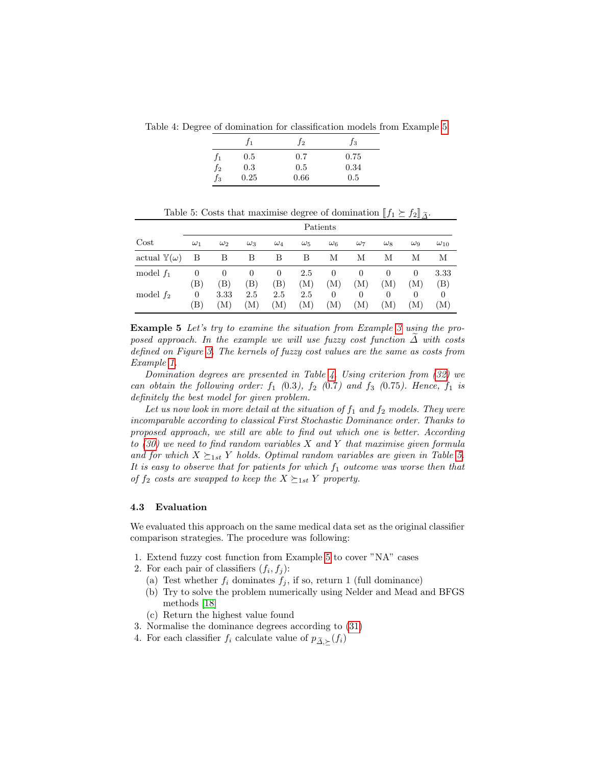<span id="page-10-1"></span>Table 4: Degree of domination for classification models from Example [5.](#page-10-0)

|         | J1.  | J2   | $f_3$ |
|---------|------|------|-------|
| J1      | 0.5  | 0.7  | 0.75  |
| $f_2$   | 0.3  | 0.5  | 0.34  |
| .<br>f3 | 0.25 | 0.66 | 0.5   |

|  |  |  | Table 5: Costs that maximise degree of domination $[\![f_1 \succeq f_2]\!]$ $\tilde{\Delta}$ . |  |  |
|--|--|--|------------------------------------------------------------------------------------------------|--|--|
|  |  |  |                                                                                                |  |  |

<span id="page-10-0"></span>

|                             | Patients                  |                 |            |                    |            |                 |                 |                 |                 |                 |
|-----------------------------|---------------------------|-----------------|------------|--------------------|------------|-----------------|-----------------|-----------------|-----------------|-----------------|
| Cost                        | $\omega_1$                | $\omega_2$      | $\omega_3$ | $\omega_4$         | $\omega_5$ | $\omega_6$      | $\omega_7$      | $\omega_8$      | $\omega_9$      | $\omega_{10}$   |
| actual $\mathbb{Y}(\omega)$ | В                         | В               | В          | B                  | В          | М               | М               | М               | М               | М               |
| model $f_1$                 | $\theta$<br>$\mathbf{B})$ | $\theta$<br>(B) | 0<br>(B)   | 0<br>$\mathbf{B})$ | 2.5<br>(M) | 0<br>(M)        | $\theta$<br>(M) | $\theta$<br>(M) | $\theta$<br>(M) | 3.33<br>(B)     |
| model $f_2$                 | 0<br>$\mathbf{B})$        | 3.33<br>M)      | 2.5<br>(M) | 2.5<br>`M)         | 2.5<br>(M) | $\theta$<br>`M) | $\theta$<br>(M) | 0<br>(M)        | 0<br>M)         | $\theta$<br>(M) |

Example 5 Let's try to examine the situation from Example [3](#page-4-0) using the proposed approach. In the example we will use fuzzy cost function  $\Delta$  with costs defined on Figure [3.](#page-9-2) The kernels of fuzzy cost values are the same as costs from Example [1.](#page-3-0)

Domination degrees are presented in Table [4.](#page-10-1) Using criterion from [\(32\)](#page-9-1) we can obtain the following order:  $f_1$  (0.3),  $f_2$  (0.7) and  $f_3$  (0.75). Hence,  $f_1$  is definitely the best model for given problem.

Let us now look in more detail at the situation of  $f_1$  and  $f_2$  models. They were incomparable according to classical First Stochastic Dominance order. Thanks to proposed approach, we still are able to find out which one is better. According to  $(30)$  we need to find random variables X and Y that maximise given formula and for which  $X \succeq_{1st} Y$  holds. Optimal random variables are given in Table [5.](#page-10-0) It is easy to observe that for patients for which  $f_1$  outcome was worse then that of  $f_2$  costs are swapped to keep the  $X \succeq_{1st} Y$  property.

#### 4.3 Evaluation

We evaluated this approach on the same medical data set as the original classifier comparison strategies. The procedure was following:

- 1. Extend fuzzy cost function from Example [5](#page-10-0) to cover "NA" cases
- 2. For each pair of classifiers  $(f_i, f_j)$ :
	- (a) Test whether  $f_i$  dominates  $f_i$ , if so, return 1 (full dominance)
	- (b) Try to solve the problem numerically using Nelder and Mead and BFGS methods [\[18\]](#page-13-17)
	- (c) Return the highest value found
- 3. Normalise the dominance degrees according to [\(31\)](#page-9-0)
- 4. For each classifier  $f_i$  calculate value of  $p_{\widetilde{\Delta},\succeq}(f_i)$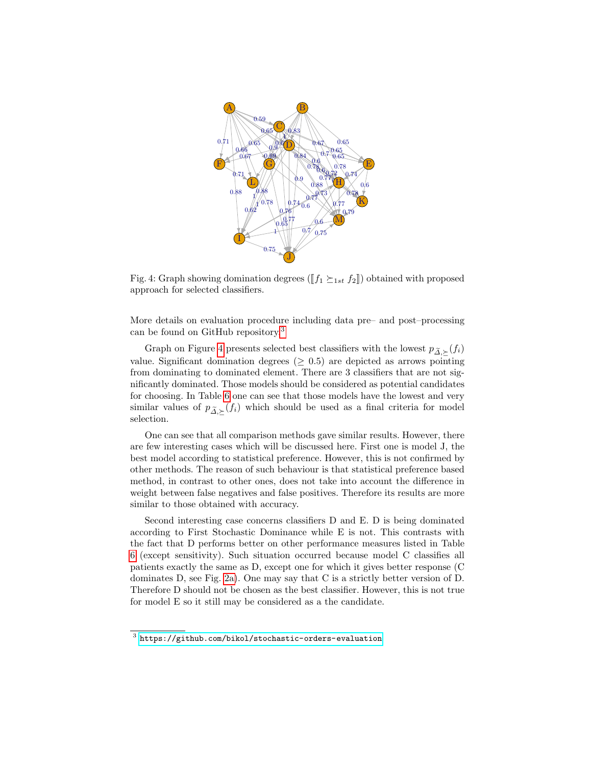<span id="page-11-1"></span>

Fig. 4: Graph showing domination degrees ( $[f_1 \succeq_{1st} f_2]]$ ) obtained with proposed approach for selected classifiers.

More details on evaluation procedure including data pre– and post–processing can be found on GitHub repository.[3](#page-11-0)

Graph on Figure [4](#page-11-1) presents selected best classifiers with the lowest  $p_{\tilde{\Delta}, \succeq}(f_i)$ value. Significant domination degrees ( $\geq 0.5$ ) are depicted as arrows pointing from dominating to dominated element. There are 3 classifiers that are not significantly dominated. Those models should be considered as potential candidates for choosing. In Table [6](#page-12-0) one can see that those models have the lowest and very similar values of  $p_{\tilde{\Delta},\succeq}(f_i)$  which should be used as a final criteria for model selection.

One can see that all comparison methods gave similar results. However, there are few interesting cases which will be discussed here. First one is model J, the best model according to statistical preference. However, this is not confirmed by other methods. The reason of such behaviour is that statistical preference based method, in contrast to other ones, does not take into account the difference in weight between false negatives and false positives. Therefore its results are more similar to those obtained with accuracy.

Second interesting case concerns classifiers D and E. D is being dominated according to First Stochastic Dominance while E is not. This contrasts with the fact that D performs better on other performance measures listed in Table [6](#page-12-0) (except sensitivity). Such situation occurred because model C classifies all patients exactly the same as D, except one for which it gives better response (C dominates D, see Fig. [2a\)](#page-7-0). One may say that C is a strictly better version of D. Therefore D should not be chosen as the best classifier. However, this is not true for model E so it still may be considered as a the candidate.

<span id="page-11-0"></span> $^3$  <https://github.com/bikol/stochastic-orders-evaluation>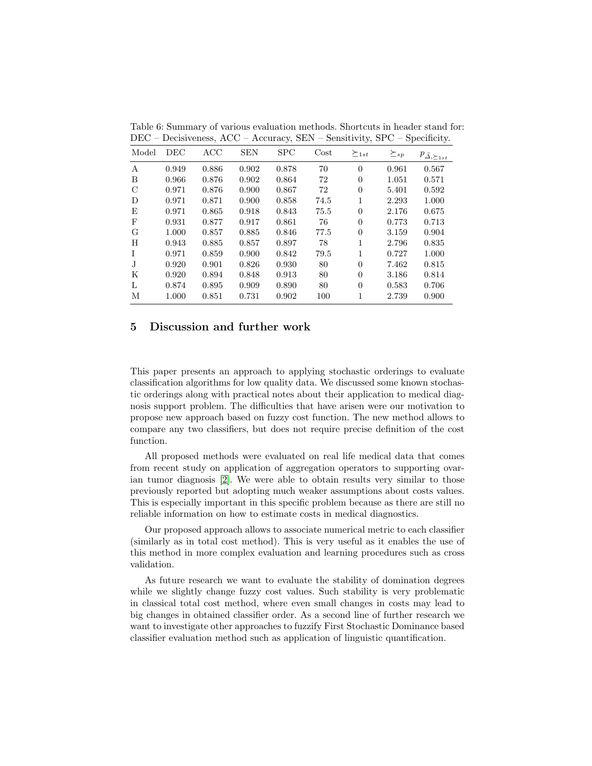| Model      | DEC   | ACC   | <b>SEN</b> | SPC   | $\cos t$ | $\succeq_{1st}$ | $\succeq_{sp}$ | $p_{\tilde{\varDelta},\succeq_{1st}}$ |
|------------|-------|-------|------------|-------|----------|-----------------|----------------|---------------------------------------|
| A          | 0.949 | 0.886 | 0.902      | 0.878 | 70       | $\Omega$        | 0.961          | 0.567                                 |
| B          | 0.966 | 0.876 | 0.902      | 0.864 | 72       | $\Omega$        | 1.051          | 0.571                                 |
| C          | 0.971 | 0.876 | 0.900      | 0.867 | 72       | $\theta$        | 5.401          | 0.592                                 |
| D          | 0.971 | 0.871 | 0.900      | 0.858 | 74.5     | 1               | 2.293          | 1.000                                 |
| E          | 0.971 | 0.865 | 0.918      | 0.843 | 75.5     | $\theta$        | 2.176          | 0.675                                 |
| $_{\rm F}$ | 0.931 | 0.877 | 0.917      | 0.861 | 76       | $\Omega$        | 0.773          | 0.713                                 |
| G          | 1.000 | 0.857 | 0.885      | 0.846 | 77.5     | $\theta$        | 3.159          | 0.904                                 |
| H          | 0.943 | 0.885 | 0.857      | 0.897 | 78       | 1               | 2.796          | 0.835                                 |
| Ι.         | 0.971 | 0.859 | 0.900      | 0.842 | 79.5     | 1               | 0.727          | 1.000                                 |
| J          | 0.920 | 0.901 | 0.826      | 0.930 | 80       | $\Omega$        | 7.462          | 0.815                                 |
| Κ          | 0.920 | 0.894 | 0.848      | 0.913 | 80       | $\Omega$        | 3.186          | 0.814                                 |
| L          | 0.874 | 0.895 | 0.909      | 0.890 | 80       | $\Omega$        | 0.583          | 0.706                                 |
| М          | 1.000 | 0.851 | 0.731      | 0.902 | 100      | 1               | 2.739          | 0.900                                 |

<span id="page-12-0"></span>Table 6: Summary of various evaluation methods. Shortcuts in header stand for: DEC – Decisiveness, ACC – Accuracy, SEN – Sensitivity, SPC – Specificity.

# 5 Discussion and further work

This paper presents an approach to applying stochastic orderings to evaluate classification algorithms for low quality data. We discussed some known stochastic orderings along with practical notes about their application to medical diagnosis support problem. The difficulties that have arisen were our motivation to propose new approach based on fuzzy cost function. The new method allows to compare any two classifiers, but does not require precise definition of the cost function.

All proposed methods were evaluated on real life medical data that comes from recent study on application of aggregation operators to supporting ovarian tumor diagnosis [\[2\]](#page-13-1). We were able to obtain results very similar to those previously reported but adopting much weaker assumptions about costs values. This is especially important in this specific problem because as there are still no reliable information on how to estimate costs in medical diagnostics.

Our proposed approach allows to associate numerical metric to each classifier (similarly as in total cost method). This is very useful as it enables the use of this method in more complex evaluation and learning procedures such as cross validation.

As future research we want to evaluate the stability of domination degrees while we slightly change fuzzy cost values. Such stability is very problematic in classical total cost method, where even small changes in costs may lead to big changes in obtained classifier order. As a second line of further research we want to investigate other approaches to fuzzify First Stochastic Dominance based classifier evaluation method such as application of linguistic quantification.